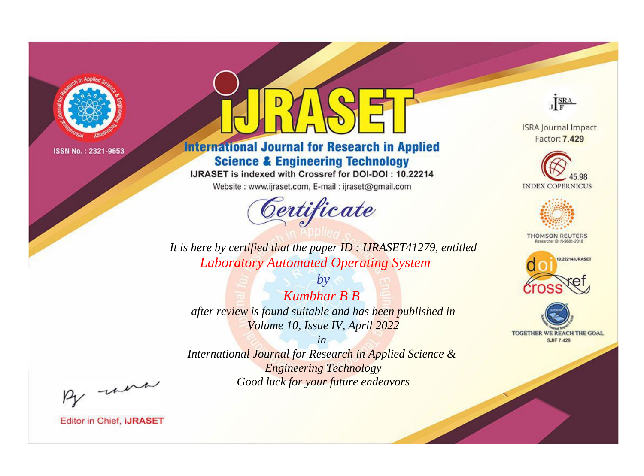

# **International Journal for Research in Applied Science & Engineering Technology**

IJRASET is indexed with Crossref for DOI-DOI: 10.22214

Website: www.ijraset.com, E-mail: ijraset@gmail.com



JERA

**ISRA Journal Impact** Factor: 7.429





**THOMSON REUTERS** 



TOGETHER WE REACH THE GOAL **SJIF 7.429** 

*It is here by certified that the paper ID : IJRASET41279, entitled Laboratory Automated Operating System*

*Kumbhar B B after review is found suitable and has been published in Volume 10, Issue IV, April 2022*

*by*

*in* 

*International Journal for Research in Applied Science & Engineering Technology Good luck for your future endeavors*

By morn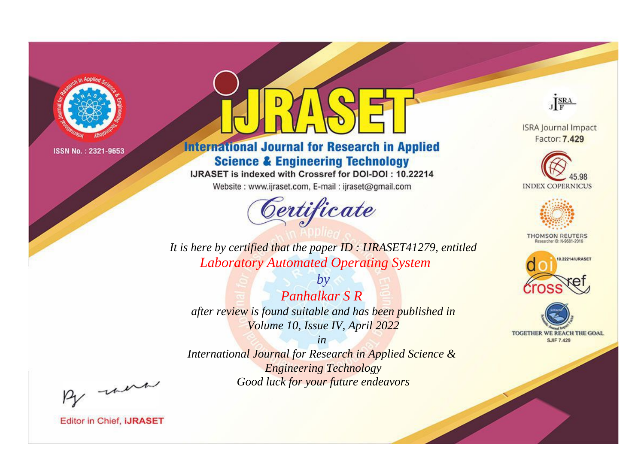

# **International Journal for Research in Applied Science & Engineering Technology**

IJRASET is indexed with Crossref for DOI-DOI: 10.22214

Website: www.ijraset.com, E-mail: ijraset@gmail.com



JERA

**ISRA Journal Impact** Factor: 7.429





**THOMSON REUTERS** 



TOGETHER WE REACH THE GOAL **SJIF 7.429** 

It is here by certified that the paper ID: IJRASET41279, entitled **Laboratory Automated Operating System** 

**Panhalkar S R** after review is found suitable and has been published in Volume 10, Issue IV, April 2022

 $b\nu$ 

 $in$ International Journal for Research in Applied Science & **Engineering Technology** Good luck for your future endeavors

By morn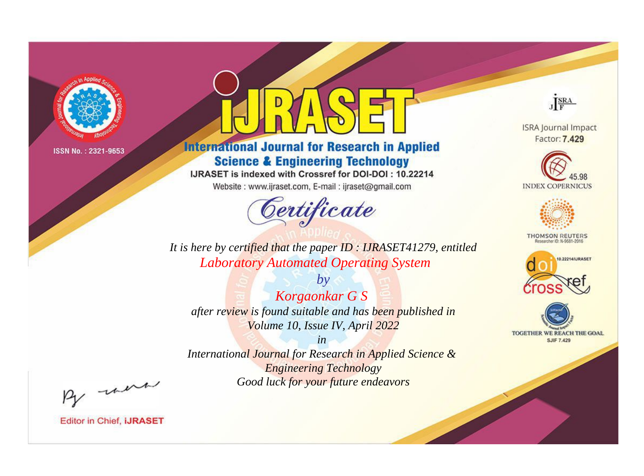

# **International Journal for Research in Applied Science & Engineering Technology**

IJRASET is indexed with Crossref for DOI-DOI: 10.22214

Website: www.ijraset.com, E-mail: ijraset@gmail.com



JERA

**ISRA Journal Impact** Factor: 7.429





**THOMSON REUTERS** 



TOGETHER WE REACH THE GOAL **SJIF 7.429** 

It is here by certified that the paper ID: IJRASET41279, entitled **Laboratory Automated Operating System** 

 $by$ Korgaonkar G S after review is found suitable and has been published in Volume 10, Issue IV, April 2022

 $in$ International Journal for Research in Applied Science & **Engineering Technology** Good luck for your future endeavors

By morn